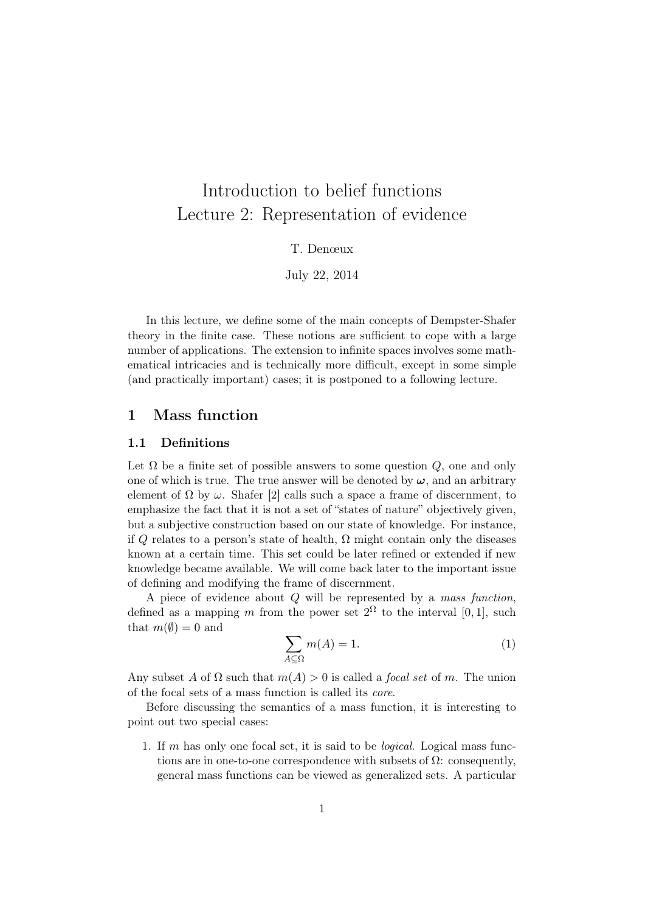# Introduction to belief functions Lecture 2: Representation of evidence

T. Denœux

July 22, 2014

In this lecture, we define some of the main concepts of Dempster-Shafer theory in the finite case. These notions are sufficient to cope with a large number of applications. The extension to infinite spaces involves some mathematical intricacies and is technically more difficult, except in some simple (and practically important) cases; it is postponed to a following lecture.

## 1 Mass function

### 1.1 Definitions

Let  $\Omega$  be a finite set of possible answers to some question  $Q$ , one and only one of which is true. The true answer will be denoted by  $\omega$ , and an arbitrary element of  $\Omega$  by  $\omega$ . Shafer [2] calls such a space a frame of discernment, to emphasize the fact that it is not a set of "states of nature" objectively given, but a subjective construction based on our state of knowledge. For instance, if Q relates to a person's state of health,  $\Omega$  might contain only the diseases known at a certain time. This set could be later refined or extended if new knowledge became available. We will come back later to the important issue of defining and modifying the frame of discernment.

A piece of evidence about  $Q$  will be represented by a mass function, defined as a mapping m from the power set  $2^{\Omega}$  to the interval [0, 1], such that  $m(\emptyset) = 0$  and

$$
\sum_{A \subseteq \Omega} m(A) = 1. \tag{1}
$$

Any subset A of  $\Omega$  such that  $m(A) > 0$  is called a *focal set* of m. The union of the focal sets of a mass function is called its core.

Before discussing the semantics of a mass function, it is interesting to point out two special cases:

1. If m has only one focal set, it is said to be logical. Logical mass functions are in one-to-one correspondence with subsets of  $\Omega$ : consequently, general mass functions can be viewed as generalized sets. A particular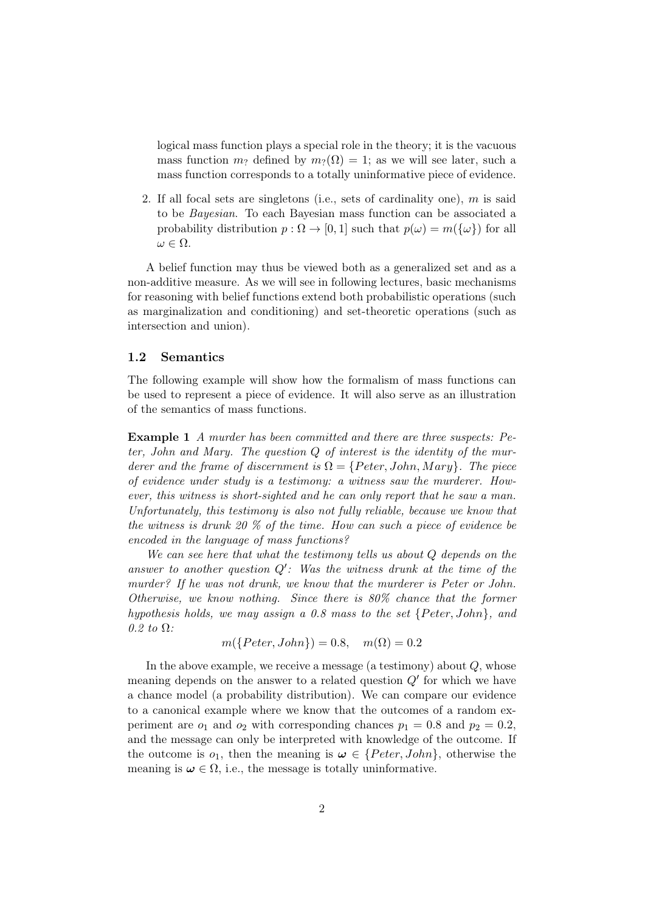logical mass function plays a special role in the theory; it is the vacuous mass function  $m_?$  defined by  $m_?(\Omega) = 1$ ; as we will see later, such a mass function corresponds to a totally uninformative piece of evidence.

2. If all focal sets are singletons (i.e., sets of cardinality one), m is said to be Bayesian. To each Bayesian mass function can be associated a probability distribution  $p : \Omega \to [0, 1]$  such that  $p(\omega) = m({\omega})$  for all  $\omega \in \Omega$ .

A belief function may thus be viewed both as a generalized set and as a non-additive measure. As we will see in following lectures, basic mechanisms for reasoning with belief functions extend both probabilistic operations (such as marginalization and conditioning) and set-theoretic operations (such as intersection and union).

#### 1.2 Semantics

The following example will show how the formalism of mass functions can be used to represent a piece of evidence. It will also serve as an illustration of the semantics of mass functions.

Example 1 A murder has been committed and there are three suspects: Peter, John and Mary. The question  $Q$  of interest is the identity of the murderer and the frame of discernment is  $\Omega = \{Peter, John, Mary\}$ . The piece of evidence under study is a testimony: a witness saw the murderer. However, this witness is short-sighted and he can only report that he saw a man. Unfortunately, this testimony is also not fully reliable, because we know that the witness is drunk 20 % of the time. How can such a piece of evidence be encoded in the language of mass functions?

We can see here that what the testimony tells us about Q depends on the answer to another question  $Q'$ : Was the witness drunk at the time of the murder? If he was not drunk, we know that the murderer is Peter or John. Otherwise, we know nothing. Since there is 80% chance that the former hypothesis holds, we may assign a 0.8 mass to the set  ${Peter, John}$ , and  $0.2$  to  $\Omega$ :

$$
m(\lbrace Peter, John \rbrace) = 0.8, \quad m(\Omega) = 0.2
$$

In the above example, we receive a message (a testimony) about  $Q$ , whose meaning depends on the answer to a related question  $Q'$  for which we have a chance model (a probability distribution). We can compare our evidence to a canonical example where we know that the outcomes of a random experiment are  $o_1$  and  $o_2$  with corresponding chances  $p_1 = 0.8$  and  $p_2 = 0.2$ , and the message can only be interpreted with knowledge of the outcome. If the outcome is  $o_1$ , then the meaning is  $\omega \in \{Peter, John\}$ , otherwise the meaning is  $\omega \in \Omega$ , i.e., the message is totally uninformative.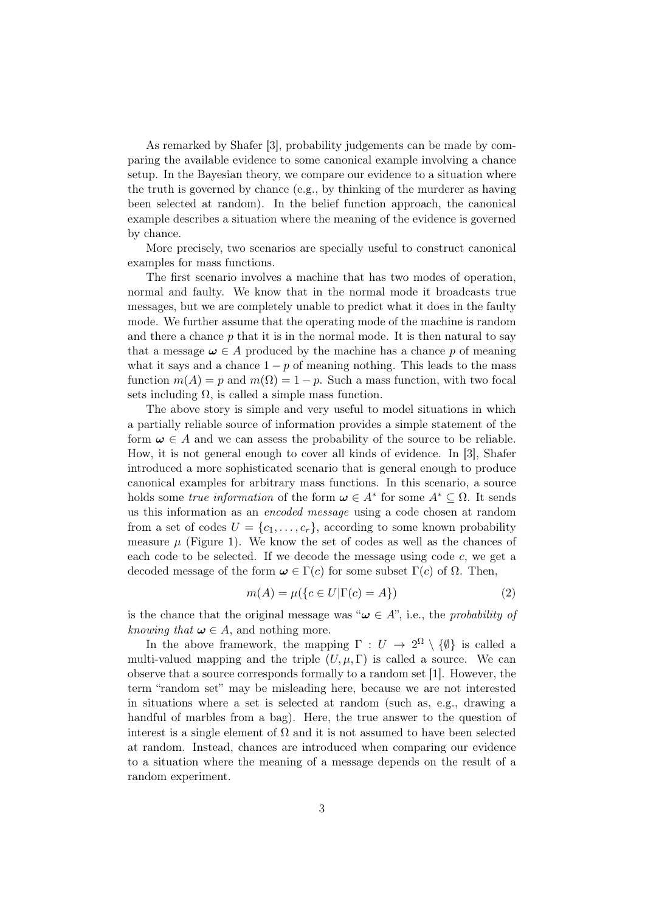As remarked by Shafer [3], probability judgements can be made by comparing the available evidence to some canonical example involving a chance setup. In the Bayesian theory, we compare our evidence to a situation where the truth is governed by chance (e.g., by thinking of the murderer as having been selected at random). In the belief function approach, the canonical example describes a situation where the meaning of the evidence is governed by chance.

More precisely, two scenarios are specially useful to construct canonical examples for mass functions.

The first scenario involves a machine that has two modes of operation, normal and faulty. We know that in the normal mode it broadcasts true messages, but we are completely unable to predict what it does in the faulty mode. We further assume that the operating mode of the machine is random and there a chance  $p$  that it is in the normal mode. It is then natural to say that a message  $\omega \in A$  produced by the machine has a chance p of meaning what it says and a chance  $1 - p$  of meaning nothing. This leads to the mass function  $m(A) = p$  and  $m(\Omega) = 1 - p$ . Such a mass function, with two focal sets including  $\Omega$ , is called a simple mass function.

The above story is simple and very useful to model situations in which a partially reliable source of information provides a simple statement of the form  $\omega \in A$  and we can assess the probability of the source to be reliable. How, it is not general enough to cover all kinds of evidence. In [3], Shafer introduced a more sophisticated scenario that is general enough to produce canonical examples for arbitrary mass functions. In this scenario, a source holds some *true information* of the form  $\boldsymbol{\omega} \in A^*$  for some  $A^* \subseteq \Omega$ . It sends us this information as an encoded message using a code chosen at random from a set of codes  $U = \{c_1, \ldots, c_r\}$ , according to some known probability measure  $\mu$  (Figure 1). We know the set of codes as well as the chances of each code to be selected. If we decode the message using code c, we get a decoded message of the form  $\omega \in \Gamma(c)$  for some subset  $\Gamma(c)$  of  $\Omega$ . Then,

$$
m(A) = \mu(\lbrace c \in U | \Gamma(c) = A \rbrace)
$$
\n<sup>(2)</sup>

is the chance that the original message was " $\omega \in A$ ", i.e., the *probability of* knowing that  $\omega \in A$ , and nothing more.

In the above framework, the mapping  $\Gamma: U \to 2^{\Omega} \setminus \{\emptyset\}$  is called a multi-valued mapping and the triple  $(U, \mu, \Gamma)$  is called a source. We can observe that a source corresponds formally to a random set [1]. However, the term "random set" may be misleading here, because we are not interested in situations where a set is selected at random (such as, e.g., drawing a handful of marbles from a bag). Here, the true answer to the question of interest is a single element of  $\Omega$  and it is not assumed to have been selected at random. Instead, chances are introduced when comparing our evidence to a situation where the meaning of a message depends on the result of a random experiment.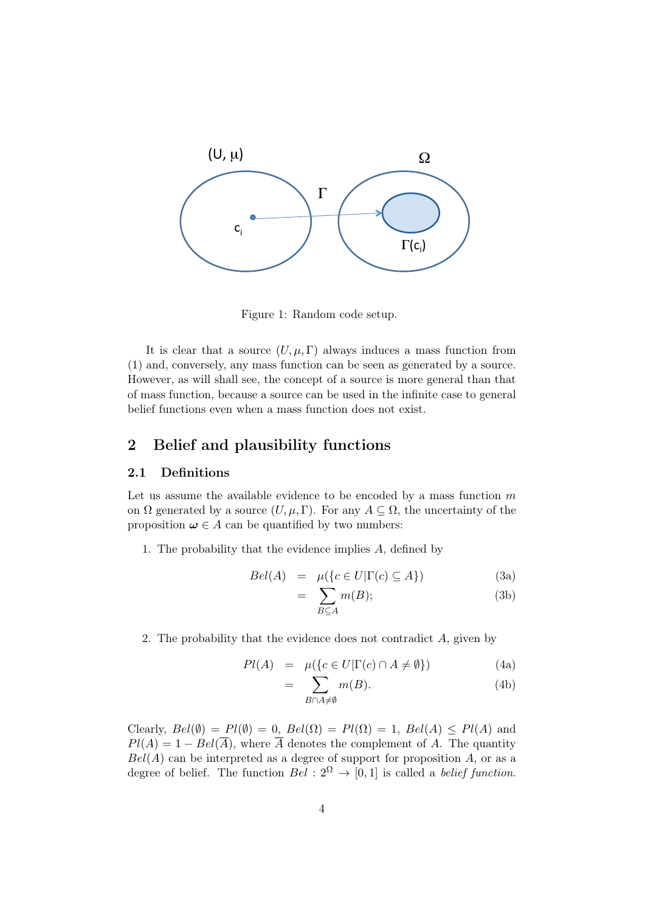

Figure 1: Random code setup.

It is clear that a source  $(U, \mu, \Gamma)$  always induces a mass function from (1) and, conversely, any mass function can be seen as generated by a source. However, as will shall see, the concept of a source is more general than that of mass function, because a source can be used in the infinite case to general belief functions even when a mass function does not exist.

# 2 Belief and plausibility functions

## 2.1 Definitions

Let us assume the available evidence to be encoded by a mass function  $m$ on  $\Omega$  generated by a source  $(U, \mu, \Gamma)$ . For any  $A \subseteq \Omega$ , the uncertainty of the proposition  $\omega \in A$  can be quantified by two numbers:

1. The probability that the evidence implies A, defined by

$$
Bel(A) = \mu({c \in U | \Gamma(c) \subseteq A})
$$
 (3a)

$$
= \sum_{B \subseteq A} m(B); \tag{3b}
$$

2. The probability that the evidence does not contradict A, given by

$$
Pl(A) = \mu(\lbrace c \in U | \Gamma(c) \cap A \neq \emptyset \rbrace)
$$
 (4a)

$$
= \sum_{B \cap A \neq \emptyset} m(B). \tag{4b}
$$

Clearly,  $Bel(\emptyset) = Pl(\emptyset) = 0$ ,  $Bel(\Omega) = Pl(\Omega) = 1$ ,  $Bel(A) < Pl(A)$  and  $Pl(A) = 1 - Bel(\overline{A})$ , where  $\overline{A}$  denotes the complement of A. The quantity  $Bel(A)$  can be interpreted as a degree of support for proposition A, or as a degree of belief. The function  $Bel: 2^{\Omega} \rightarrow [0,1]$  is called a *belief function*.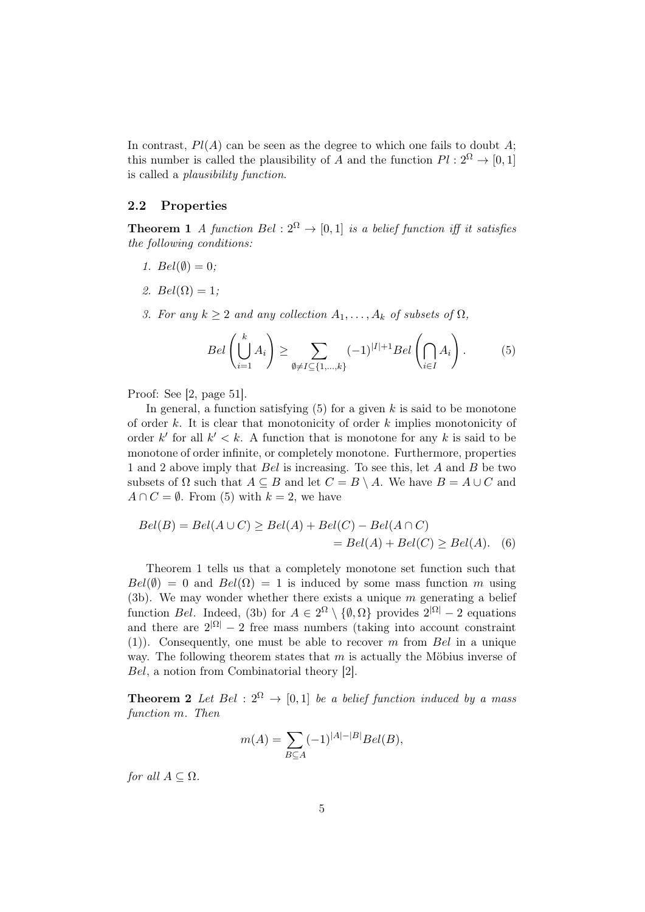In contrast,  $Pl(A)$  can be seen as the degree to which one fails to doubt A; this number is called the plausibility of A and the function  $Pl : 2^{\Omega} \to [0, 1]$ is called a plausibility function.

#### 2.2 Properties

**Theorem 1** A function Bel :  $2^{\Omega} \rightarrow [0,1]$  is a belief function iff it satisfies the following conditions:

- 1.  $Bel(\emptyset) = 0;$
- 2.  $Bel(\Omega) = 1;$
- 3. For any  $k \geq 2$  and any collection  $A_1, \ldots, A_k$  of subsets of  $\Omega$ ,

$$
Bel\left(\bigcup_{i=1}^{k} A_i\right) \ge \sum_{\emptyset \ne I \subseteq \{1,\dots,k\}} (-1)^{|I|+1} Bel\left(\bigcap_{i \in I} A_i\right). \tag{5}
$$

Proof: See [2, page 51].

In general, a function satisfying  $(5)$  for a given k is said to be monotone of order  $k$ . It is clear that monotonicity of order  $k$  implies monotonicity of order k' for all  $k' < k$ . A function that is monotone for any k is said to be monotone of order infinite, or completely monotone. Furthermore, properties 1 and 2 above imply that Bel is increasing. To see this, let A and B be two subsets of  $\Omega$  such that  $A \subseteq B$  and let  $C = B \setminus A$ . We have  $B = A \cup C$  and  $A \cap C = \emptyset$ . From (5) with  $k = 2$ , we have

$$
Bel(B) = Bel(A \cup C) \ge Bel(A) + Bel(C) - Bel(A \cap C)
$$
  
= 
$$
Bel(A) + Bel(C) \ge Bel(A).
$$
 (6)

Theorem 1 tells us that a completely monotone set function such that  $Bel(\emptyset) = 0$  and  $Bel(\Omega) = 1$  is induced by some mass function m using (3b). We may wonder whether there exists a unique  $m$  generating a belief function Bel. Indeed, (3b) for  $A \in 2^{\Omega} \setminus \{ \emptyset, \Omega \}$  provides  $2^{|\Omega|} - 2$  equations and there are  $2^{|\Omega|} - 2$  free mass numbers (taking into account constraint (1)). Consequently, one must be able to recover m from Bel in a unique way. The following theorem states that  $m$  is actually the Möbius inverse of Bel, a notion from Combinatorial theory [2].

**Theorem 2** Let Bel :  $2^{\Omega} \rightarrow [0, 1]$  be a belief function induced by a mass function m. Then

$$
m(A) = \sum_{B \subseteq A} (-1)^{|A| - |B|} Bel(B),
$$

for all  $A \subseteq \Omega$ .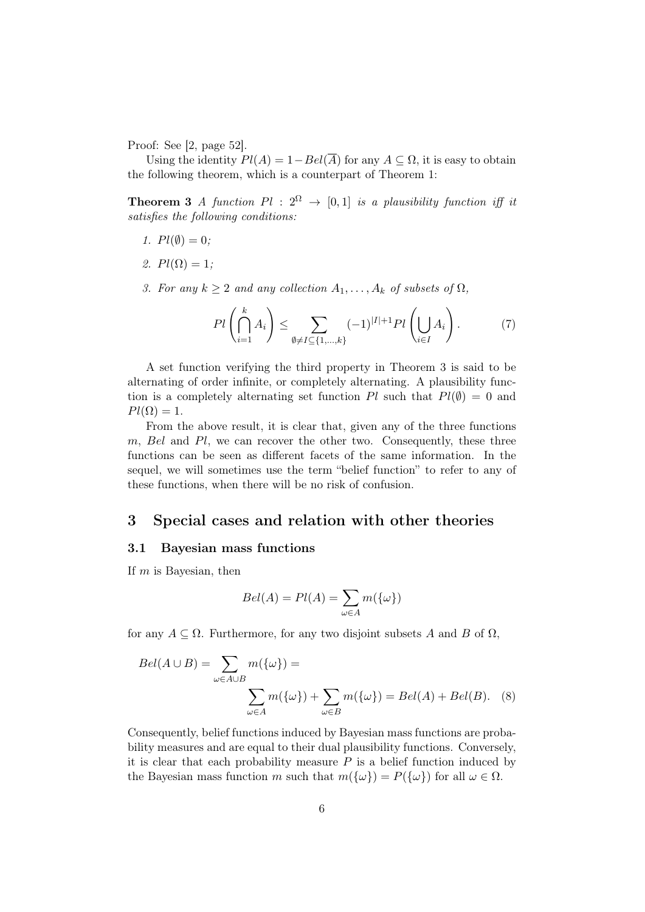Proof: See [2, page 52].

Using the identity  $Pl(A) = 1 - Bel(\overline{A})$  for any  $A \subseteq \Omega$ , it is easy to obtain the following theorem, which is a counterpart of Theorem 1:

**Theorem 3** A function  $Pl : 2^{\Omega} \rightarrow [0,1]$  is a plausibility function iff it satisfies the following conditions:

- 1.  $Pl(\emptyset) = 0$ :
- 2.  $Pl(\Omega) = 1$ ;
- 3. For any  $k \geq 2$  and any collection  $A_1, \ldots, A_k$  of subsets of  $\Omega$ ,

$$
Pl\left(\bigcap_{i=1}^k A_i\right) \le \sum_{\emptyset \ne I \subseteq \{1,\dots,k\}} (-1)^{|I|+1} Pl\left(\bigcup_{i \in I} A_i\right). \tag{7}
$$

A set function verifying the third property in Theorem 3 is said to be alternating of order infinite, or completely alternating. A plausibility function is a completely alternating set function Pl such that  $Pl(\emptyset) = 0$  and  $Pl(\Omega) = 1.$ 

From the above result, it is clear that, given any of the three functions m, Bel and Pl, we can recover the other two. Consequently, these three functions can be seen as different facets of the same information. In the sequel, we will sometimes use the term "belief function" to refer to any of these functions, when there will be no risk of confusion.

## 3 Special cases and relation with other theories

#### 3.1 Bayesian mass functions

If  $m$  is Bayesian, then

$$
Bel(A) = Pl(A) = \sum_{\omega \in A} m(\{\omega\})
$$

for any  $A \subseteq \Omega$ . Furthermore, for any two disjoint subsets A and B of  $\Omega$ ,

$$
Bel(A \cup B) = \sum_{\omega \in A \cup B} m(\{\omega\}) =
$$

$$
\sum_{\omega \in A} m(\{\omega\}) + \sum_{\omega \in B} m(\{\omega\}) = Bel(A) + Bel(B). \quad (8)
$$

Consequently, belief functions induced by Bayesian mass functions are probability measures and are equal to their dual plausibility functions. Conversely, it is clear that each probability measure  $P$  is a belief function induced by the Bayesian mass function m such that  $m({\{\omega\}}) = P({\{\omega\}})$  for all  $\omega \in \Omega$ .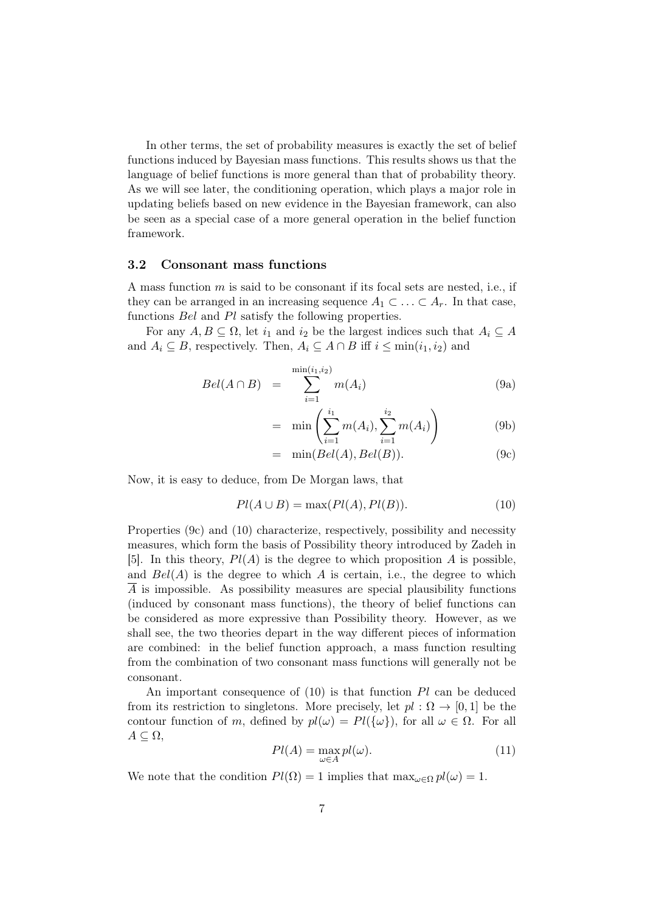In other terms, the set of probability measures is exactly the set of belief functions induced by Bayesian mass functions. This results shows us that the language of belief functions is more general than that of probability theory. As we will see later, the conditioning operation, which plays a major role in updating beliefs based on new evidence in the Bayesian framework, can also be seen as a special case of a more general operation in the belief function framework.

#### 3.2 Consonant mass functions

A mass function m is said to be consonant if its focal sets are nested, i.e., if they can be arranged in an increasing sequence  $A_1 \subset \ldots \subset A_r$ . In that case, functions Bel and Pl satisfy the following properties.

For any  $A, B \subseteq \Omega$ , let  $i_1$  and  $i_2$  be the largest indices such that  $A_i \subseteq A$ and  $A_i \subseteq B$ , respectively. Then,  $A_i \subseteq A \cap B$  iff  $i \leq \min(i_1, i_2)$  and

$$
Bel(A \cap B) = \sum_{i=1}^{\min(i_1, i_2)} m(A_i)
$$
 (9a)

$$
= \min \left( \sum_{i=1}^{i_1} m(A_i), \sum_{i=1}^{i_2} m(A_i) \right) \tag{9b}
$$

$$
= \min(Bel(A), Bel(B)). \tag{9c}
$$

Now, it is easy to deduce, from De Morgan laws, that

$$
Pl(A \cup B) = \max(Pl(A), Pl(B)).
$$
\n<sup>(10)</sup>

Properties (9c) and (10) characterize, respectively, possibility and necessity measures, which form the basis of Possibility theory introduced by Zadeh in [5]. In this theory,  $Pl(A)$  is the degree to which proposition A is possible, and  $Bel(A)$  is the degree to which A is certain, i.e., the degree to which  $\overline{A}$  is impossible. As possibility measures are special plausibility functions (induced by consonant mass functions), the theory of belief functions can be considered as more expressive than Possibility theory. However, as we shall see, the two theories depart in the way different pieces of information are combined: in the belief function approach, a mass function resulting from the combination of two consonant mass functions will generally not be consonant.

An important consequence of (10) is that function Pl can be deduced from its restriction to singletons. More precisely, let  $pl : \Omega \to [0,1]$  be the contour function of m, defined by  $pl(\omega) = Pl({\omega})$ , for all  $\omega \in \Omega$ . For all  $A \subseteq \Omega$ ,

$$
Pl(A) = \max_{\omega \in A} pl(\omega).
$$
 (11)

We note that the condition  $Pl(\Omega) = 1$  implies that  $\max_{\omega \in \Omega} pl(\omega) = 1$ .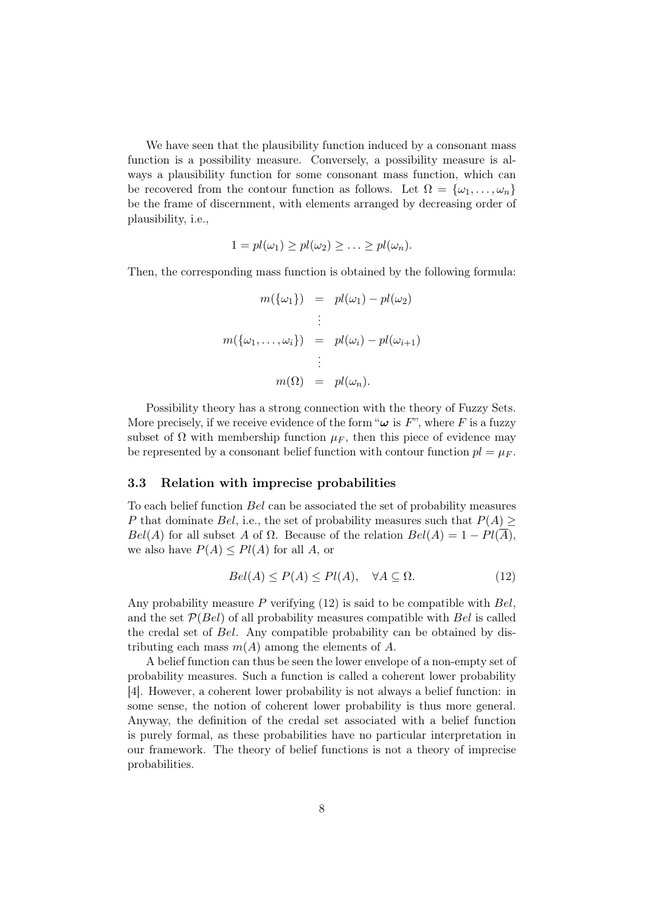We have seen that the plausibility function induced by a consonant mass function is a possibility measure. Conversely, a possibility measure is always a plausibility function for some consonant mass function, which can be recovered from the contour function as follows. Let  $\Omega = {\omega_1, \ldots, \omega_n}$ be the frame of discernment, with elements arranged by decreasing order of plausibility, i.e.,

$$
1 = pl(\omega_1) \geq pl(\omega_2) \geq \ldots \geq pl(\omega_n).
$$

Then, the corresponding mass function is obtained by the following formula:

$$
m(\{\omega_1\}) = pl(\omega_1) - pl(\omega_2)
$$
  
\n
$$
\vdots
$$
  
\n
$$
m(\{\omega_1, \dots, \omega_i\}) = pl(\omega_i) - pl(\omega_{i+1})
$$
  
\n
$$
\vdots
$$
  
\n
$$
m(\Omega) = pl(\omega_n).
$$

Possibility theory has a strong connection with the theory of Fuzzy Sets. More precisely, if we receive evidence of the form " $\omega$  is F", where F is a fuzzy subset of  $\Omega$  with membership function  $\mu_F$ , then this piece of evidence may be represented by a consonant belief function with contour function  $pl = \mu_F$ .

#### 3.3 Relation with imprecise probabilities

To each belief function Bel can be associated the set of probability measures P that dominate Bel, i.e., the set of probability measures such that  $P(A) \geq$  $Bel(A)$  for all subset A of  $\Omega$ . Because of the relation  $Bel(A) = 1 - Pl(\overline{A})$ , we also have  $P(A) \leq P(A)$  for all A, or

$$
Bel(A) \le P(A) \le Pl(A), \quad \forall A \subseteq \Omega.
$$
 (12)

Any probability measure  $P$  verifying (12) is said to be compatible with  $Bel$ , and the set  $P(Bel)$  of all probability measures compatible with Bel is called the credal set of Bel. Any compatible probability can be obtained by distributing each mass  $m(A)$  among the elements of A.

A belief function can thus be seen the lower envelope of a non-empty set of probability measures. Such a function is called a coherent lower probability [4]. However, a coherent lower probability is not always a belief function: in some sense, the notion of coherent lower probability is thus more general. Anyway, the definition of the credal set associated with a belief function is purely formal, as these probabilities have no particular interpretation in our framework. The theory of belief functions is not a theory of imprecise probabilities.